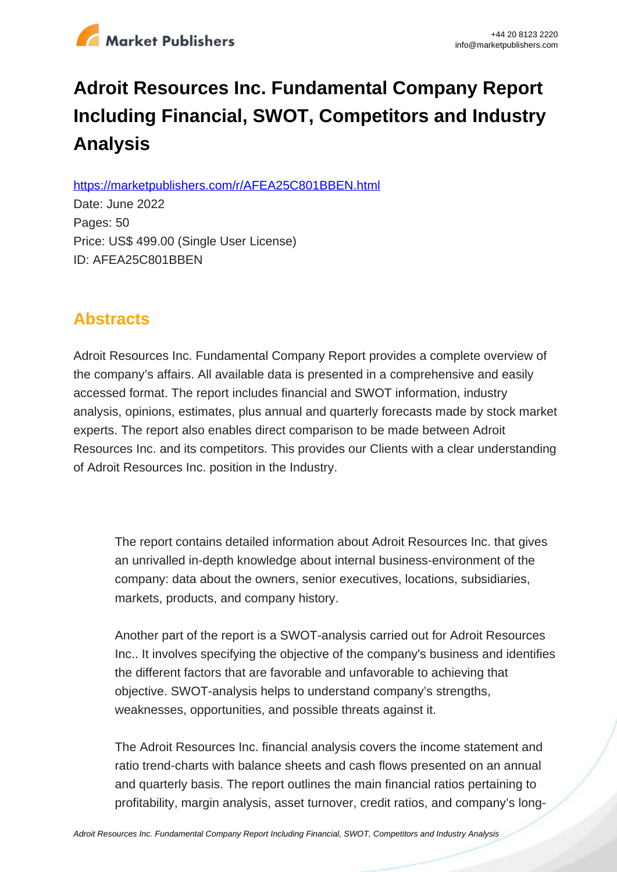

# **Adroit Resources Inc. Fundamental Company Report Including Financial, SWOT, Competitors and Industry Analysis**

https://marketpublishers.com/r/AFEA25C801BBEN.html

Date: June 2022 Pages: 50 Price: US\$ 499.00 (Single User License) ID: AFEA25C801BBEN

# **Abstracts**

Adroit Resources Inc. Fundamental Company Report provides a complete overview of the company's affairs. All available data is presented in a comprehensive and easily accessed format. The report includes financial and SWOT information, industry analysis, opinions, estimates, plus annual and quarterly forecasts made by stock market experts. The report also enables direct comparison to be made between Adroit Resources Inc. and its competitors. This provides our Clients with a clear understanding of Adroit Resources Inc. position in the Industry.

The report contains detailed information about Adroit Resources Inc. that gives an unrivalled in-depth knowledge about internal business-environment of the company: data about the owners, senior executives, locations, subsidiaries, markets, products, and company history.

Another part of the report is a SWOT-analysis carried out for Adroit Resources Inc.. It involves specifying the objective of the company's business and identifies the different factors that are favorable and unfavorable to achieving that objective. SWOT-analysis helps to understand company's strengths, weaknesses, opportunities, and possible threats against it.

The Adroit Resources Inc. financial analysis covers the income statement and ratio trend-charts with balance sheets and cash flows presented on an annual and quarterly basis. The report outlines the main financial ratios pertaining to profitability, margin analysis, asset turnover, credit ratios, and company's long-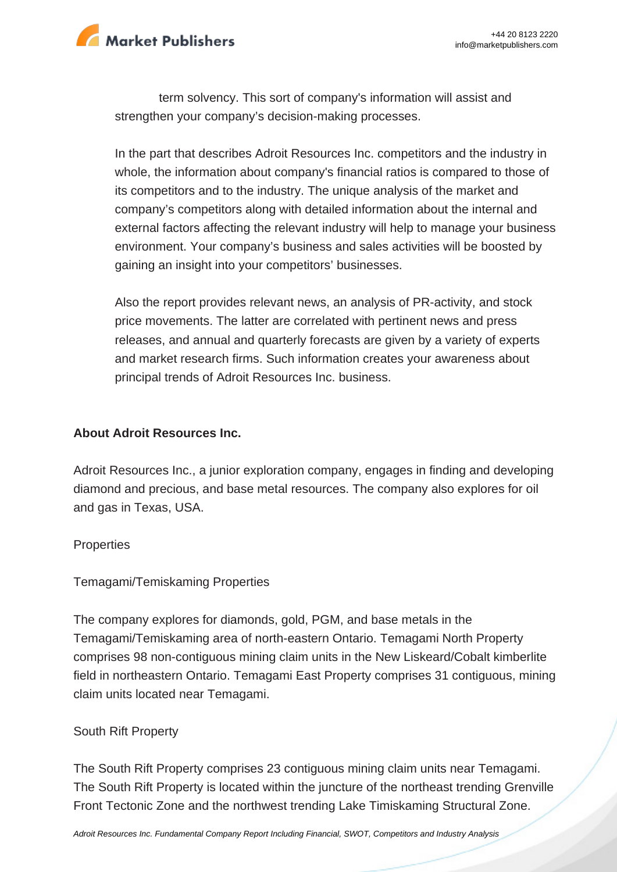

term solvency. This sort of company's information will assist and strengthen your company's decision-making processes.

In the part that describes Adroit Resources Inc. competitors and the industry in whole, the information about company's financial ratios is compared to those of its competitors and to the industry. The unique analysis of the market and company's competitors along with detailed information about the internal and external factors affecting the relevant industry will help to manage your business environment. Your company's business and sales activities will be boosted by gaining an insight into your competitors' businesses.

Also the report provides relevant news, an analysis of PR-activity, and stock price movements. The latter are correlated with pertinent news and press releases, and annual and quarterly forecasts are given by a variety of experts and market research firms. Such information creates your awareness about principal trends of Adroit Resources Inc. business.

### **About Adroit Resources Inc.**

Adroit Resources Inc., a junior exploration company, engages in finding and developing diamond and precious, and base metal resources. The company also explores for oil and gas in Texas, USA.

#### **Properties**

Temagami/Temiskaming Properties

The company explores for diamonds, gold, PGM, and base metals in the Temagami/Temiskaming area of north-eastern Ontario. Temagami North Property comprises 98 non-contiguous mining claim units in the New Liskeard/Cobalt kimberlite field in northeastern Ontario. Temagami East Property comprises 31 contiguous, mining claim units located near Temagami.

### South Rift Property

The South Rift Property comprises 23 contiguous mining claim units near Temagami. The South Rift Property is located within the juncture of the northeast trending Grenville Front Tectonic Zone and the northwest trending Lake Timiskaming Structural Zone.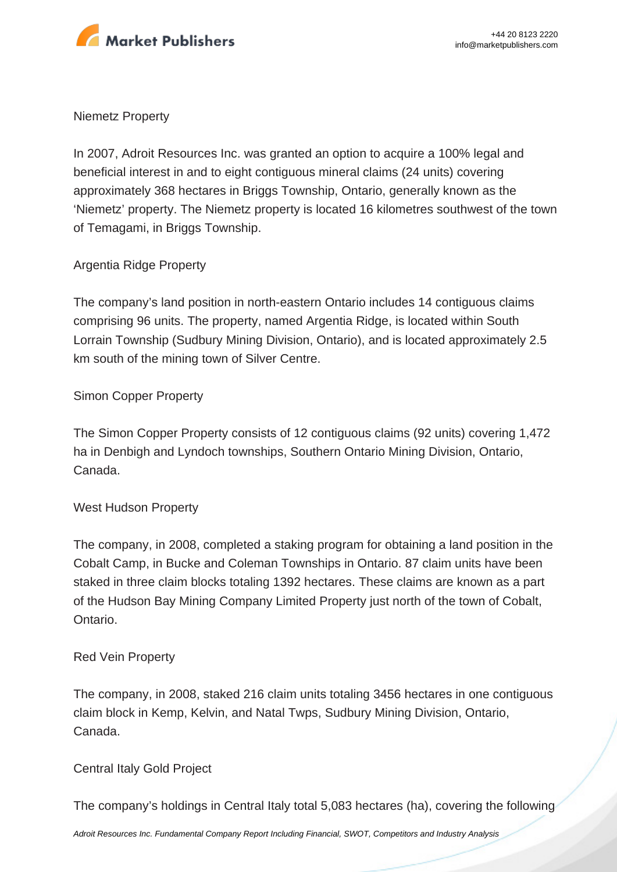

#### Niemetz Property

In 2007, Adroit Resources Inc. was granted an option to acquire a 100% legal and beneficial interest in and to eight contiguous mineral claims (24 units) covering approximately 368 hectares in Briggs Township, Ontario, generally known as the 'Niemetz' property. The Niemetz property is located 16 kilometres southwest of the town of Temagami, in Briggs Township.

### Argentia Ridge Property

The company's land position in north-eastern Ontario includes 14 contiguous claims comprising 96 units. The property, named Argentia Ridge, is located within South Lorrain Township (Sudbury Mining Division, Ontario), and is located approximately 2.5 km south of the mining town of Silver Centre.

### Simon Copper Property

The Simon Copper Property consists of 12 contiguous claims (92 units) covering 1,472 ha in Denbigh and Lyndoch townships, Southern Ontario Mining Division, Ontario, Canada.

### West Hudson Property

The company, in 2008, completed a staking program for obtaining a land position in the Cobalt Camp, in Bucke and Coleman Townships in Ontario. 87 claim units have been staked in three claim blocks totaling 1392 hectares. These claims are known as a part of the Hudson Bay Mining Company Limited Property just north of the town of Cobalt, Ontario.

### Red Vein Property

The company, in 2008, staked 216 claim units totaling 3456 hectares in one contiguous claim block in Kemp, Kelvin, and Natal Twps, Sudbury Mining Division, Ontario, Canada.

### Central Italy Gold Project

The company's holdings in Central Italy total 5,083 hectares (ha), covering the following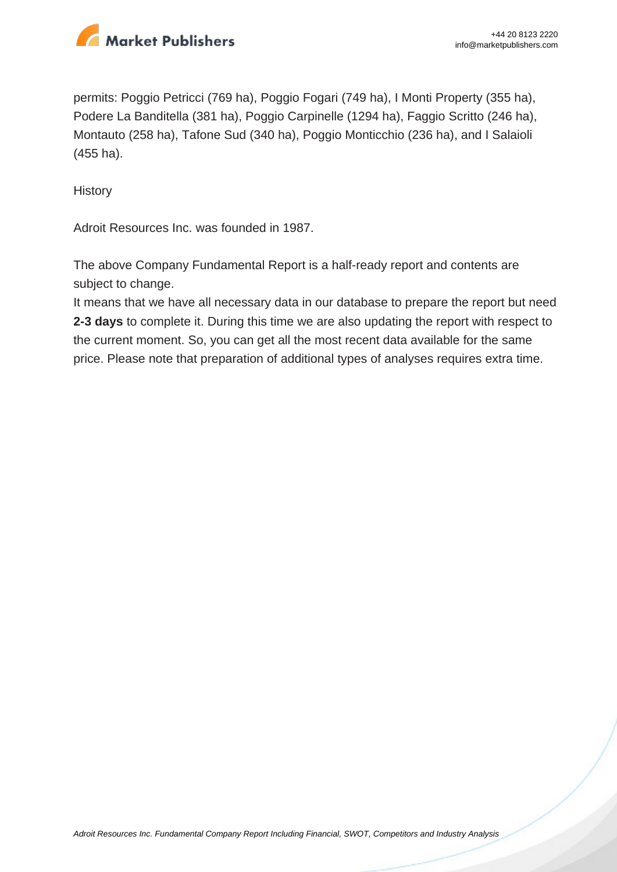

permits: Poggio Petricci (769 ha), Poggio Fogari (749 ha), I Monti Property (355 ha), Podere La Banditella (381 ha), Poggio Carpinelle (1294 ha), Faggio Scritto (246 ha), Montauto (258 ha), Tafone Sud (340 ha), Poggio Monticchio (236 ha), and I Salaioli (455 ha).

**History** 

Adroit Resources Inc. was founded in 1987.

The above Company Fundamental Report is a half-ready report and contents are subject to change.

It means that we have all necessary data in our database to prepare the report but need **2-3 days** to complete it. During this time we are also updating the report with respect to the current moment. So, you can get all the most recent data available for the same price. Please note that preparation of additional types of analyses requires extra time.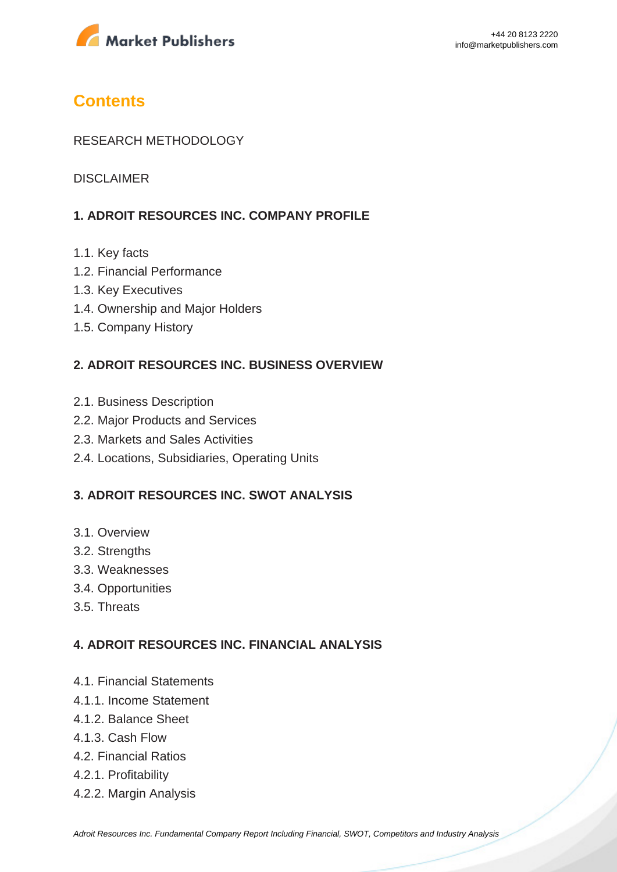

## **Contents**

### RESEARCH METHODOLOGY

DISCI AIMER

### **1. ADROIT RESOURCES INC. COMPANY PROFILE**

- 1.1. Key facts
- 1.2. Financial Performance
- 1.3. Key Executives
- 1.4. Ownership and Major Holders
- 1.5. Company History

### **2. ADROIT RESOURCES INC. BUSINESS OVERVIEW**

- 2.1. Business Description
- 2.2. Major Products and Services
- 2.3. Markets and Sales Activities
- 2.4. Locations, Subsidiaries, Operating Units

### **3. ADROIT RESOURCES INC. SWOT ANALYSIS**

- 3.1. Overview
- 3.2. Strengths
- 3.3. Weaknesses
- 3.4. Opportunities
- 3.5. Threats

#### **4. ADROIT RESOURCES INC. FINANCIAL ANALYSIS**

- 4.1. Financial Statements
- 4.1.1. Income Statement
- 4.1.2. Balance Sheet
- 4.1.3. Cash Flow
- 4.2. Financial Ratios
- 4.2.1. Profitability
- 4.2.2. Margin Analysis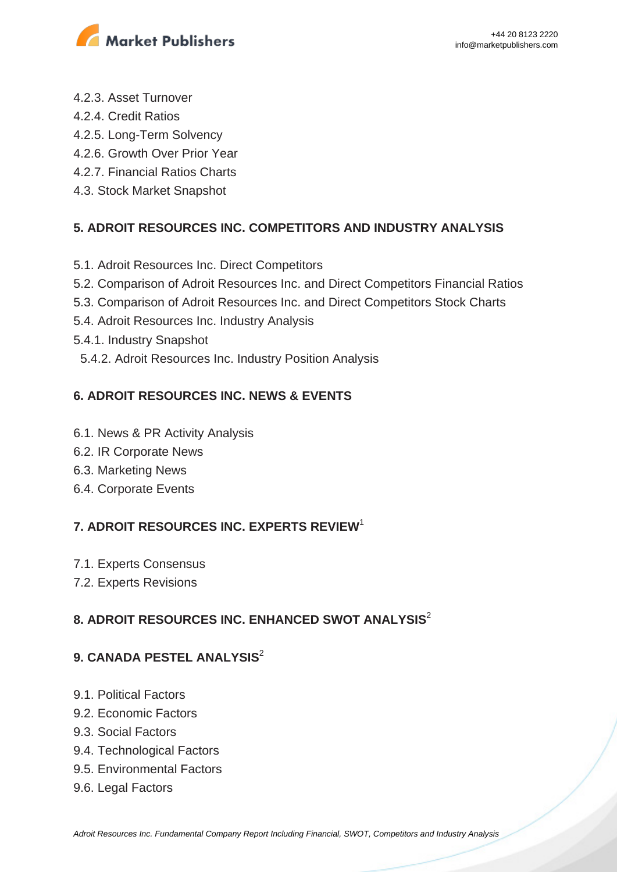

- 4.2.3. Asset Turnover
- 4.2.4. Credit Ratios
- 4.2.5. Long-Term Solvency
- 4.2.6. Growth Over Prior Year
- 4.2.7. Financial Ratios Charts
- 4.3. Stock Market Snapshot

### **5. ADROIT RESOURCES INC. COMPETITORS AND INDUSTRY ANALYSIS**

- 5.1. Adroit Resources Inc. Direct Competitors
- 5.2. Comparison of Adroit Resources Inc. and Direct Competitors Financial Ratios
- 5.3. Comparison of Adroit Resources Inc. and Direct Competitors Stock Charts
- 5.4. Adroit Resources Inc. Industry Analysis
- 5.4.1. Industry Snapshot
- 5.4.2. Adroit Resources Inc. Industry Position Analysis

### **6. ADROIT RESOURCES INC. NEWS & EVENTS**

- 6.1. News & PR Activity Analysis
- 6.2. IR Corporate News
- 6.3. Marketing News
- 6.4. Corporate Events

### **7. ADROIT RESOURCES INC. EXPERTS REVIEW**<sup>1</sup>

- 7.1. Experts Consensus
- 7.2. Experts Revisions

### **8. ADROIT RESOURCES INC. ENHANCED SWOT ANALYSIS**<sup>2</sup>

### **9. CANADA PESTEL ANALYSIS**<sup>2</sup>

- 9.1. Political Factors
- 9.2. Economic Factors
- 9.3. Social Factors
- 9.4. Technological Factors
- 9.5. Environmental Factors
- 9.6. Legal Factors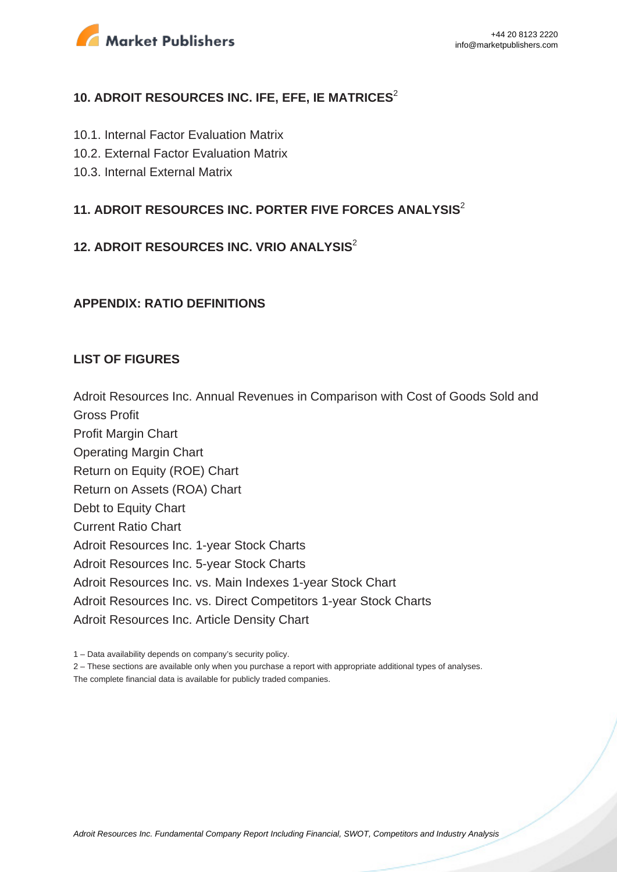

### **10. ADROIT RESOURCES INC. IFE, EFE, IE MATRICES<sup>2</sup>**

- 10.1. Internal Factor Evaluation Matrix
- 10.2. External Factor Evaluation Matrix
- 10.3. Internal External Matrix

### **11. ADROIT RESOURCES INC. PORTER FIVE FORCES ANALYSIS**<sup>2</sup>

### **12. ADROIT RESOURCES INC. VRIO ANALYSIS**<sup>2</sup>

#### **APPENDIX: RATIO DEFINITIONS**

#### **LIST OF FIGURES**

Adroit Resources Inc. Annual Revenues in Comparison with Cost of Goods Sold and Gross Profit

Profit Margin Chart Operating Margin Chart Return on Equity (ROE) Chart Return on Assets (ROA) Chart Debt to Equity Chart Current Ratio Chart Adroit Resources Inc. 1-year Stock Charts Adroit Resources Inc. 5-year Stock Charts Adroit Resources Inc. vs. Main Indexes 1-year Stock Chart Adroit Resources Inc. vs. Direct Competitors 1-year Stock Charts Adroit Resources Inc. Article Density Chart

1 – Data availability depends on company's security policy.

2 – These sections are available only when you purchase a report with appropriate additional types of analyses.

The complete financial data is available for publicly traded companies.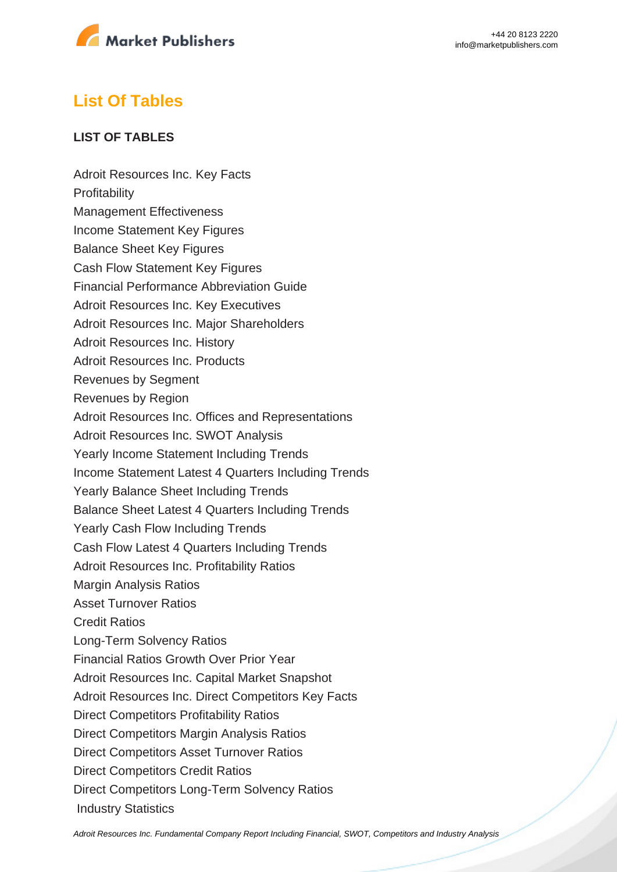

# **List Of Tables**

### **LIST OF TABLES**

Adroit Resources Inc. Key Facts **Profitability** Management Effectiveness Income Statement Key Figures Balance Sheet Key Figures Cash Flow Statement Key Figures Financial Performance Abbreviation Guide Adroit Resources Inc. Key Executives Adroit Resources Inc. Major Shareholders Adroit Resources Inc. History Adroit Resources Inc. Products Revenues by Segment Revenues by Region Adroit Resources Inc. Offices and Representations Adroit Resources Inc. SWOT Analysis Yearly Income Statement Including Trends Income Statement Latest 4 Quarters Including Trends Yearly Balance Sheet Including Trends Balance Sheet Latest 4 Quarters Including Trends Yearly Cash Flow Including Trends Cash Flow Latest 4 Quarters Including Trends Adroit Resources Inc. Profitability Ratios Margin Analysis Ratios Asset Turnover Ratios Credit Ratios Long-Term Solvency Ratios Financial Ratios Growth Over Prior Year Adroit Resources Inc. Capital Market Snapshot Adroit Resources Inc. Direct Competitors Key Facts Direct Competitors Profitability Ratios Direct Competitors Margin Analysis Ratios Direct Competitors Asset Turnover Ratios Direct Competitors Credit Ratios Direct Competitors Long-Term Solvency Ratios Industry Statistics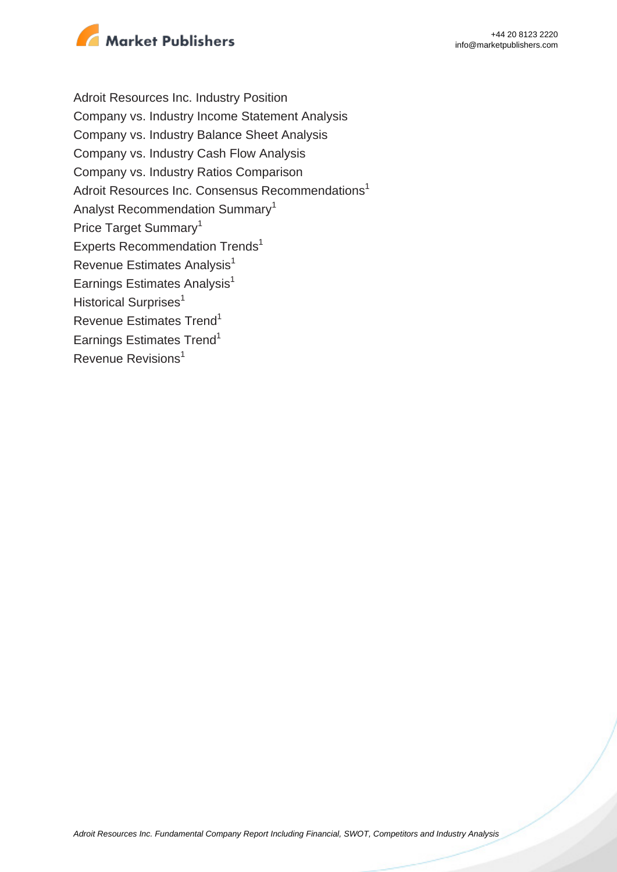

Adroit Resources Inc. Industry Position Company vs. Industry Income Statement Analysis Company vs. Industry Balance Sheet Analysis Company vs. Industry Cash Flow Analysis Company vs. Industry Ratios Comparison Adroit Resources Inc. Consensus Recommendations<sup>1</sup> Analyst Recommendation Summary<sup>1</sup> Price Target Summary<sup>1</sup> Experts Recommendation Trends<sup>1</sup> Revenue Estimates Analysis<sup>1</sup> Earnings Estimates Analysis $<sup>1</sup>$ </sup> Historical Surprises<sup>1</sup> Revenue Estimates Trend<sup>1</sup> Earnings Estimates Trend<sup>1</sup> Revenue Revisions<sup>1</sup>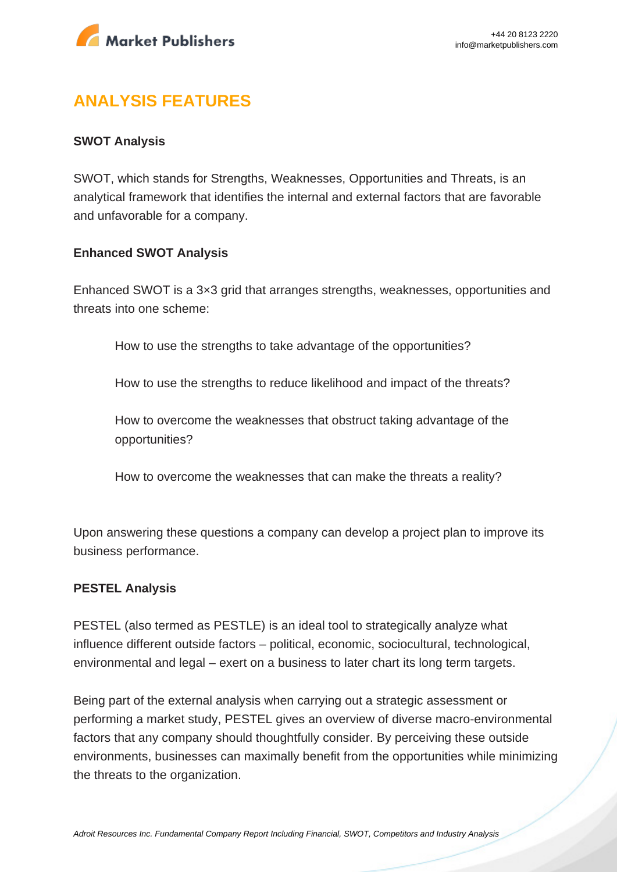

# **ANALYSIS FEATURES**

### **SWOT Analysis**

SWOT, which stands for Strengths, Weaknesses, Opportunities and Threats, is an analytical framework that identifies the internal and external factors that are favorable and unfavorable for a company.

#### **Enhanced SWOT Analysis**

Enhanced SWOT is a 3×3 grid that arranges strengths, weaknesses, opportunities and threats into one scheme:

How to use the strengths to take advantage of the opportunities?

How to use the strengths to reduce likelihood and impact of the threats?

How to overcome the weaknesses that obstruct taking advantage of the opportunities?

How to overcome the weaknesses that can make the threats a reality?

Upon answering these questions a company can develop a project plan to improve its business performance.

#### **PESTEL Analysis**

PESTEL (also termed as PESTLE) is an ideal tool to strategically analyze what influence different outside factors – political, economic, sociocultural, technological, environmental and legal – exert on a business to later chart its long term targets.

Being part of the external analysis when carrying out a strategic assessment or performing a market study, PESTEL gives an overview of diverse macro-environmental factors that any company should thoughtfully consider. By perceiving these outside environments, businesses can maximally benefit from the opportunities while minimizing the threats to the organization.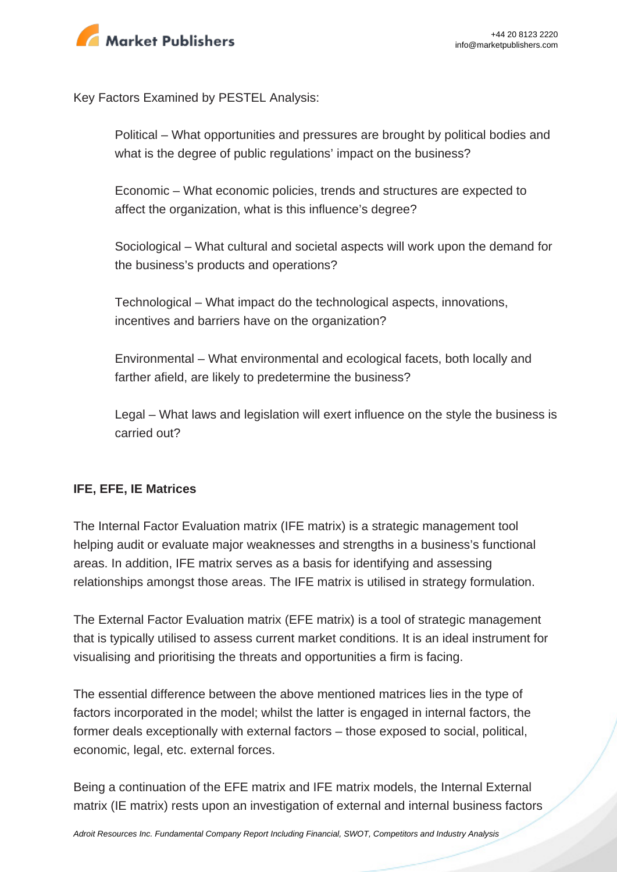

Key Factors Examined by PESTEL Analysis:

Political – What opportunities and pressures are brought by political bodies and what is the degree of public regulations' impact on the business?

Economic – What economic policies, trends and structures are expected to affect the organization, what is this influence's degree?

Sociological – What cultural and societal aspects will work upon the demand for the business's products and operations?

Technological – What impact do the technological aspects, innovations, incentives and barriers have on the organization?

Environmental – What environmental and ecological facets, both locally and farther afield, are likely to predetermine the business?

Legal – What laws and legislation will exert influence on the style the business is carried out?

### **IFE, EFE, IE Matrices**

The Internal Factor Evaluation matrix (IFE matrix) is a strategic management tool helping audit or evaluate major weaknesses and strengths in a business's functional areas. In addition, IFE matrix serves as a basis for identifying and assessing relationships amongst those areas. The IFE matrix is utilised in strategy formulation.

The External Factor Evaluation matrix (EFE matrix) is a tool of strategic management that is typically utilised to assess current market conditions. It is an ideal instrument for visualising and prioritising the threats and opportunities a firm is facing.

The essential difference between the above mentioned matrices lies in the type of factors incorporated in the model; whilst the latter is engaged in internal factors, the former deals exceptionally with external factors – those exposed to social, political, economic, legal, etc. external forces.

Being a continuation of the EFE matrix and IFE matrix models, the Internal External matrix (IE matrix) rests upon an investigation of external and internal business factors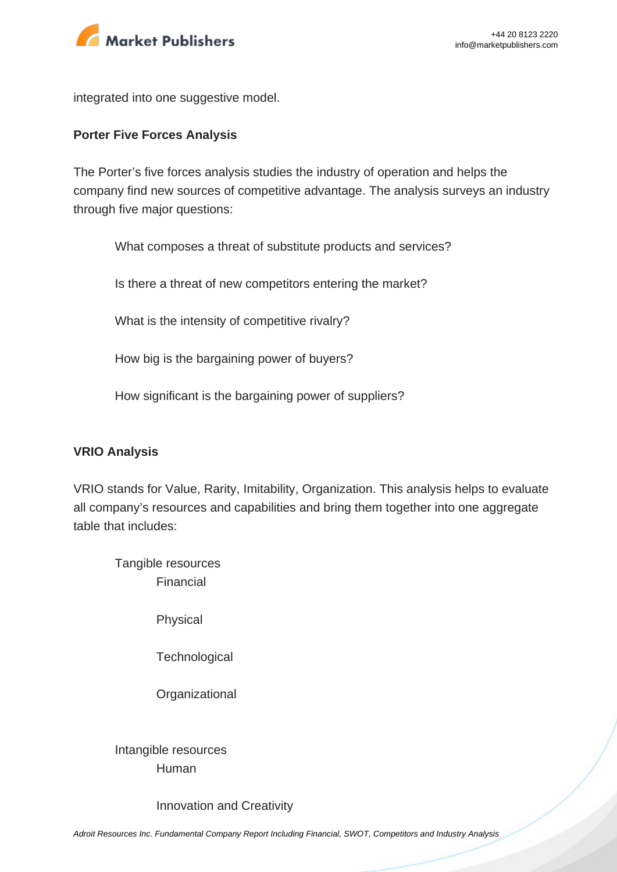

integrated into one suggestive model.

#### **Porter Five Forces Analysis**

The Porter's five forces analysis studies the industry of operation and helps the company find new sources of competitive advantage. The analysis surveys an industry through five major questions:

What composes a threat of substitute products and services?

Is there a threat of new competitors entering the market?

What is the intensity of competitive rivalry?

How big is the bargaining power of buyers?

How significant is the bargaining power of suppliers?

#### **VRIO Analysis**

VRIO stands for Value, Rarity, Imitability, Organization. This analysis helps to evaluate all company's resources and capabilities and bring them together into one aggregate table that includes:

Tangible resources Financial

Physical

**Technological** 

**Organizational** 

Intangible resources Human

Innovation and Creativity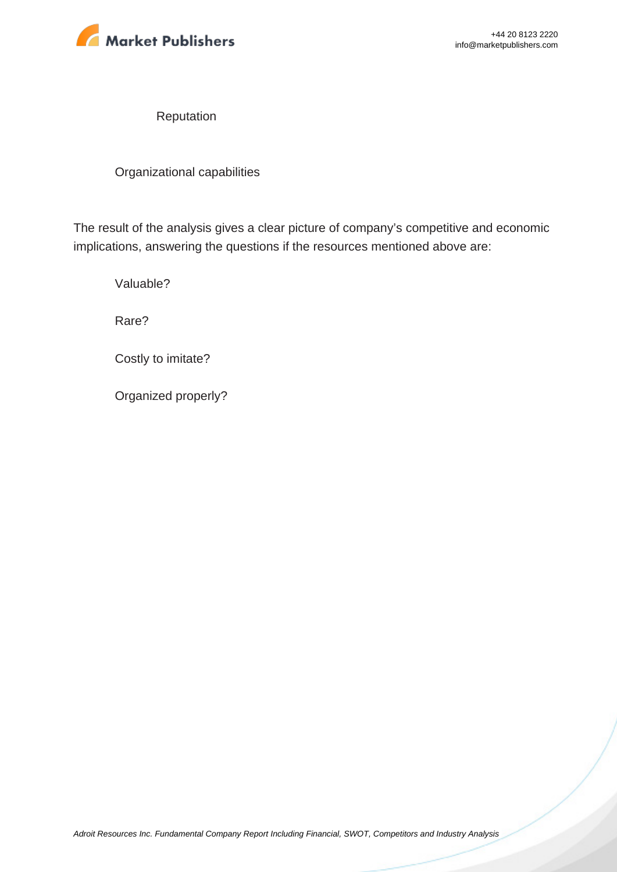

Reputation

Organizational capabilities

The result of the analysis gives a clear picture of company's competitive and economic implications, answering the questions if the resources mentioned above are:

Valuable?

Rare?

Costly to imitate?

Organized properly?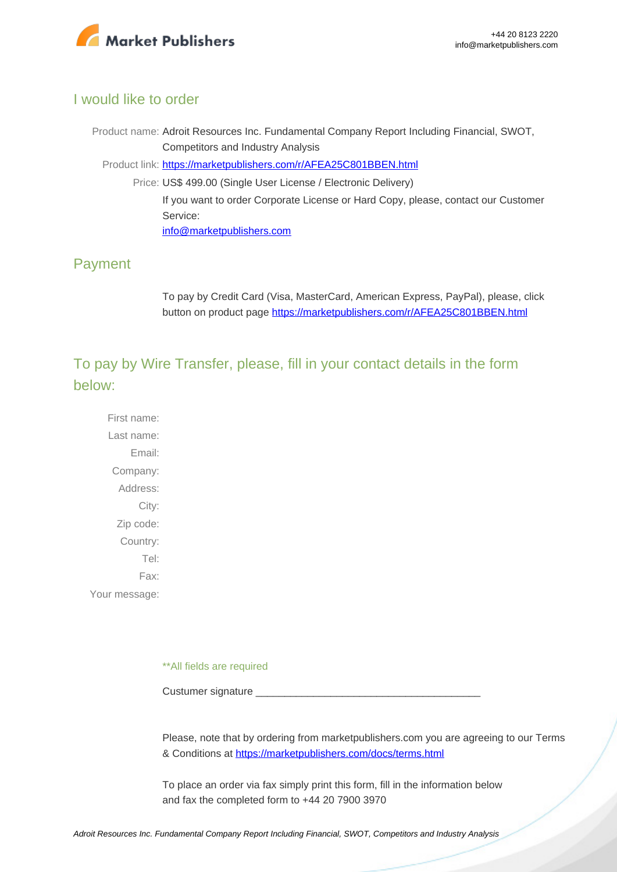

### I would like to order

Product name: Adroit Resources Inc. Fundamental Company Report Including Financial, SWOT, Competitors and Industry Analysis Product link: [https://marketpublishers.com/r/AFEA25C801BBEN.html](https://marketpublishers.com/report/industry/metallurgy/adroit_resources_inc_swot_analysis_bac.html) Price: US\$ 499.00 (Single User License / Electronic Delivery) If you want to order Corporate License or Hard Copy, please, contact our Customer Service: [info@marketpublishers.com](mailto:info@marketpublishers.com)

### Payment

To pay by Credit Card (Visa, MasterCard, American Express, PayPal), please, click button on product page [https://marketpublishers.com/r/AFEA25C801BBEN.html](https://marketpublishers.com/report/industry/metallurgy/adroit_resources_inc_swot_analysis_bac.html)

To pay by Wire Transfer, please, fill in your contact details in the form below:

First name: Last name: Email: Company: Address: City: Zip code: Country: Tel: Fax: Your message:

\*\*All fields are required

Custumer signature

Please, note that by ordering from marketpublishers.com you are agreeing to our Terms & Conditions at<https://marketpublishers.com/docs/terms.html>

To place an order via fax simply print this form, fill in the information below and fax the completed form to +44 20 7900 3970